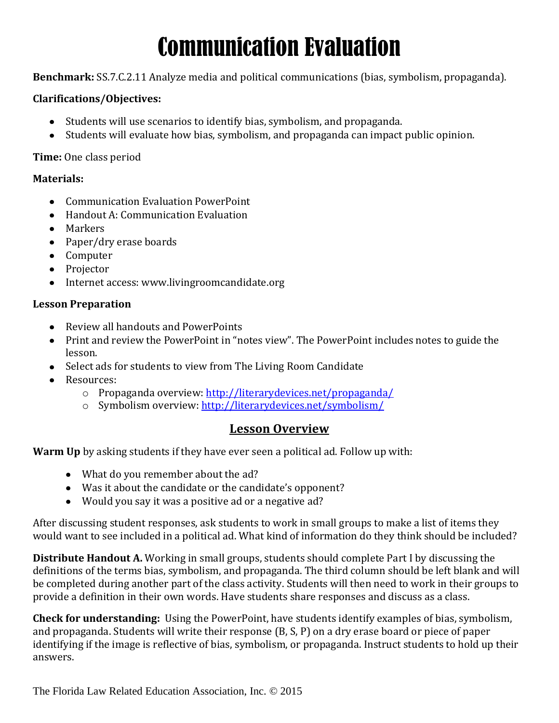# Communication Evaluation

**Benchmark:** SS.7.C.2.11 Analyze media and political communications (bias, symbolism, propaganda).

#### **Clarifications/Objectives:**

- Students will use scenarios to identify bias, symbolism, and propaganda.
- Students will evaluate how bias, symbolism, and propaganda can impact public opinion.

#### **Time:** One class period

#### **Materials:**

- Communication Evaluation PowerPoint
- Handout A: Communication Evaluation
- Markers
- Paper/dry erase boards
- Computer
- Projector
- Internet access: www.livingroomcandidate.org

#### **Lesson Preparation**

- Review all handouts and PowerPoints
- Print and review the PowerPoint in "notes view". The PowerPoint includes notes to guide the lesson.
- Select ads for students to view from The Living Room Candidate
- Resources:
	- o Propaganda overview:<http://literarydevices.net/propaganda/>
	- o Symbolism overview:<http://literarydevices.net/symbolism/>

### **Lesson Overview**

**Warm Up** by asking students if they have ever seen a political ad. Follow up with:

- What do you remember about the ad?
- Was it about the candidate or the candidate's opponent?
- Would you say it was a positive ad or a negative ad?

After discussing student responses, ask students to work in small groups to make a list of items they would want to see included in a political ad. What kind of information do they think should be included?

**Distribute Handout A.** Working in small groups, students should complete Part I by discussing the definitions of the terms bias, symbolism, and propaganda. The third column should be left blank and will be completed during another part of the class activity. Students will then need to work in their groups to provide a definition in their own words. Have students share responses and discuss as a class.

**Check for understanding:** Using the PowerPoint, have students identify examples of bias, symbolism, and propaganda. Students will write their response (B, S, P) on a dry erase board or piece of paper identifying if the image is reflective of bias, symbolism, or propaganda. Instruct students to hold up their answers.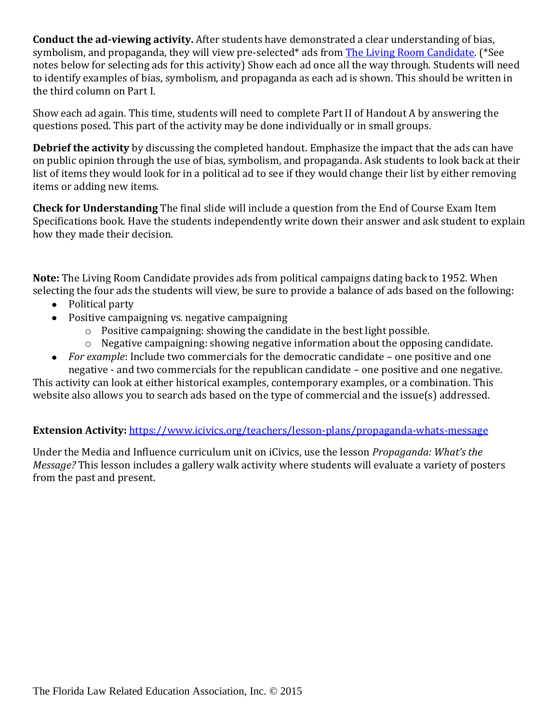**Conduct the ad-viewing activity.** After students have demonstrated a clear understanding of bias, symbolism, and propaganda, they will view pre-selected\* ads from [The Living Room Candidate.](http://www.livingroomcandidate.org/) (\*See notes below for selecting ads for this activity) Show each ad once all the way through. Students will need to identify examples of bias, symbolism, and propaganda as each ad is shown. This should be written in the third column on Part I.

Show each ad again. This time, students will need to complete Part II of Handout A by answering the questions posed. This part of the activity may be done individually or in small groups.

**Debrief the activity** by discussing the completed handout. Emphasize the impact that the ads can have on public opinion through the use of bias, symbolism, and propaganda. Ask students to look back at their list of items they would look for in a political ad to see if they would change their list by either removing items or adding new items.

**Check for Understanding** The final slide will include a question from the End of Course Exam Item Specifications book. Have the students independently write down their answer and ask student to explain how they made their decision.

**Note:** The Living Room Candidate provides ads from political campaigns dating back to 1952. When selecting the four ads the students will view, be sure to provide a balance of ads based on the following:

- Political party
- Positive campaigning vs. negative campaigning
	- o Positive campaigning: showing the candidate in the best light possible.
	- o Negative campaigning: showing negative information about the opposing candidate.
- *For example*: Include two commercials for the democratic candidate one positive and one negative - and two commercials for the republican candidate – one positive and one negative.

This activity can look at either historical examples, contemporary examples, or a combination. This website also allows you to search ads based on the type of commercial and the issue(s) addressed.

#### **Extension Activity:** <https://www.icivics.org/teachers/lesson-plans/propaganda-whats-message>

Under the Media and Influence curriculum unit on iCivics, use the lesson *Propaganda: What's the Message?* This lesson includes a gallery walk activity where students will evaluate a variety of posters from the past and present.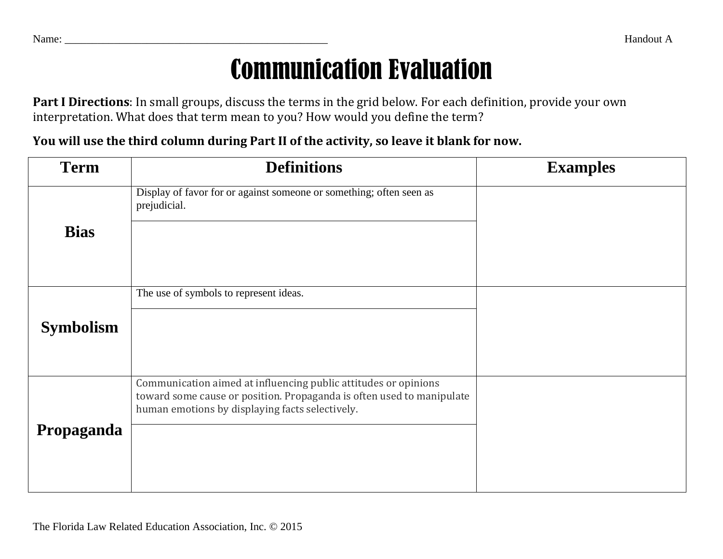# Communication Evaluation

**Part I Directions**: In small groups, discuss the terms in the grid below. For each definition, provide your own interpretation. What does that term mean to you? How would you define the term?

## **You will use the third column during Part II of the activity, so leave it blank for now.**

| <b>Term</b>      | <b>Definitions</b>                                                                                                                                                                          | <b>Examples</b> |
|------------------|---------------------------------------------------------------------------------------------------------------------------------------------------------------------------------------------|-----------------|
| <b>Bias</b>      | Display of favor for or against someone or something; often seen as<br>prejudicial.                                                                                                         |                 |
| <b>Symbolism</b> | The use of symbols to represent ideas.                                                                                                                                                      |                 |
| Propaganda       | Communication aimed at influencing public attitudes or opinions<br>toward some cause or position. Propaganda is often used to manipulate<br>human emotions by displaying facts selectively. |                 |